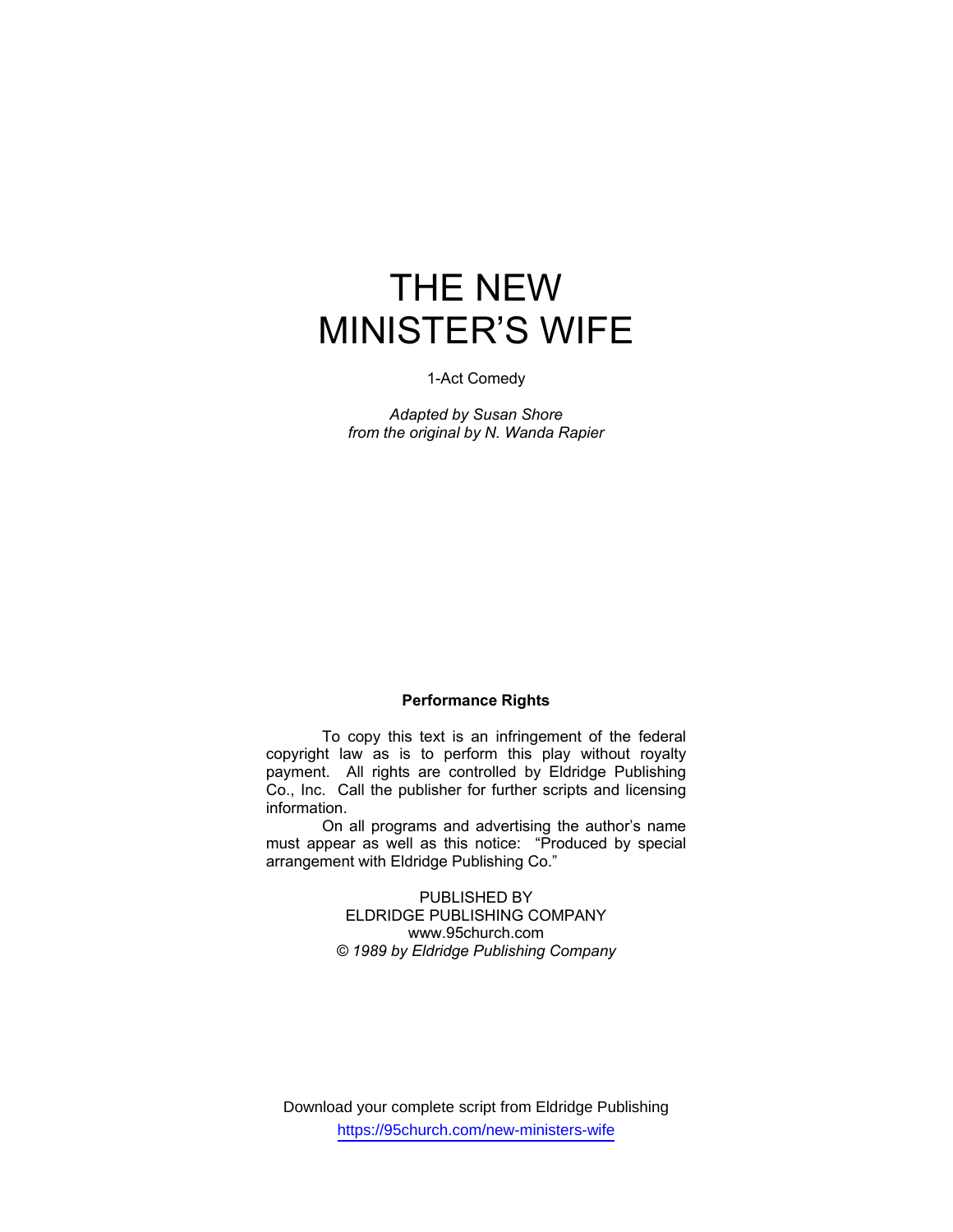# THE NEW MINISTER'S WIFE

### 1-Act Comedy

*Adapted by Susan Shore from the original by N. Wanda Rapier* 

## **Performance Rights**

 To copy this text is an infringement of the federal copyright law as is to perform this play without royalty payment. All rights are controlled by Eldridge Publishing Co., Inc. Call the publisher for further scripts and licensing information.

 On all programs and advertising the author's name must appear as well as this notice: "Produced by special arrangement with Eldridge Publishing Co."

> PUBLISHED BY ELDRIDGE PUBLISHING COMPANY www.95church.com *© 1989 by Eldridge Publishing Company*

Download your complete script from Eldridge Publishing https://95church.com/new-ministers-wife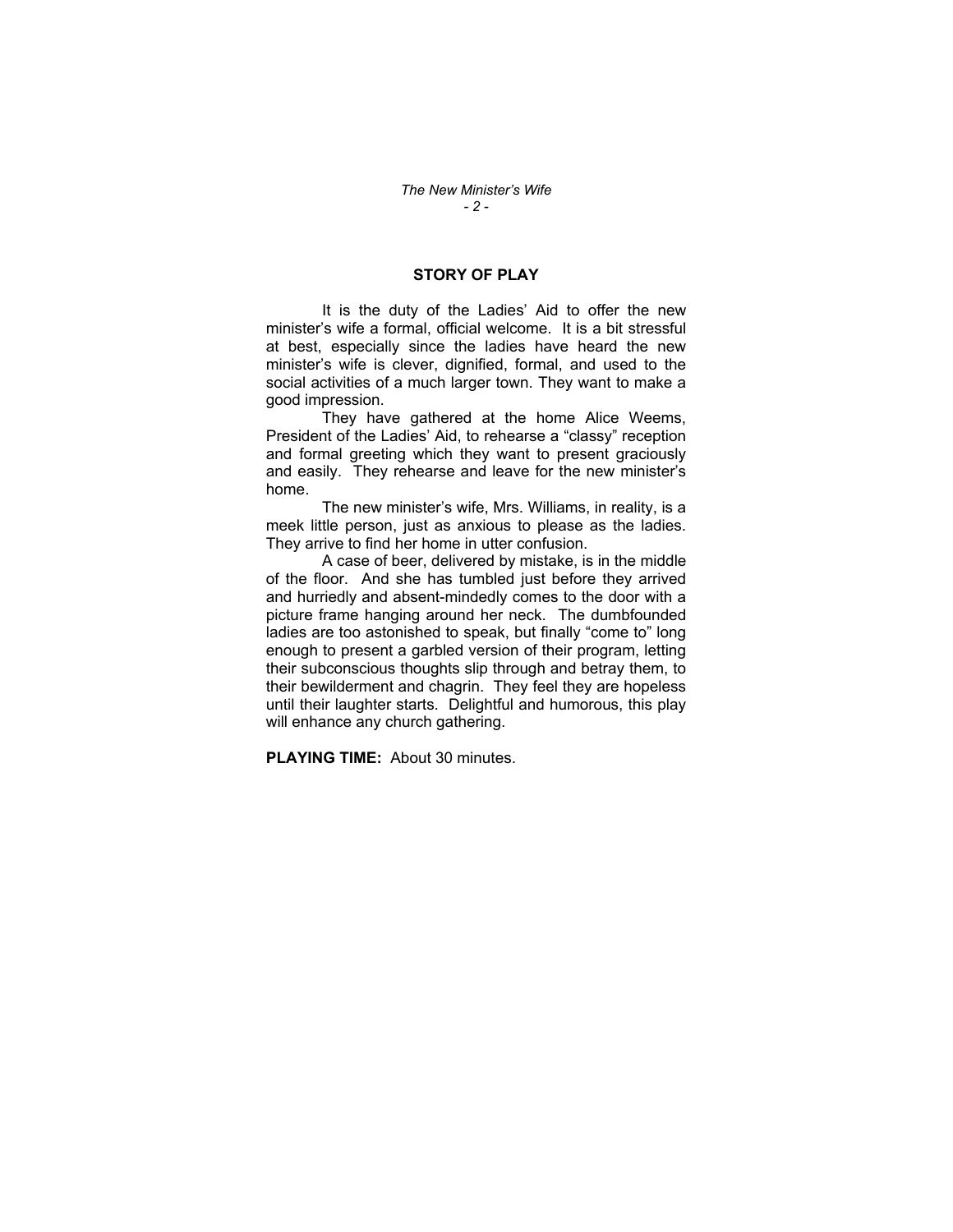## **STORY OF PLAY**

 It is the duty of the Ladies' Aid to offer the new minister's wife a formal, official welcome. It is a bit stressful at best, especially since the ladies have heard the new minister's wife is clever, dignified, formal, and used to the social activities of a much larger town. They want to make a good impression.

 They have gathered at the home Alice Weems, President of the Ladies' Aid, to rehearse a "classy" reception and formal greeting which they want to present graciously and easily. They rehearse and leave for the new minister's home.

 The new minister's wife, Mrs. Williams, in reality, is a meek little person, just as anxious to please as the ladies. They arrive to find her home in utter confusion.

 A case of beer, delivered by mistake, is in the middle of the floor. And she has tumbled just before they arrived and hurriedly and absent-mindedly comes to the door with a picture frame hanging around her neck. The dumbfounded ladies are too astonished to speak, but finally "come to" long enough to present a garbled version of their program, letting their subconscious thoughts slip through and betray them, to their bewilderment and chagrin. They feel they are hopeless until their laughter starts. Delightful and humorous, this play will enhance any church gathering.

**PLAYING TIME:** About 30 minutes.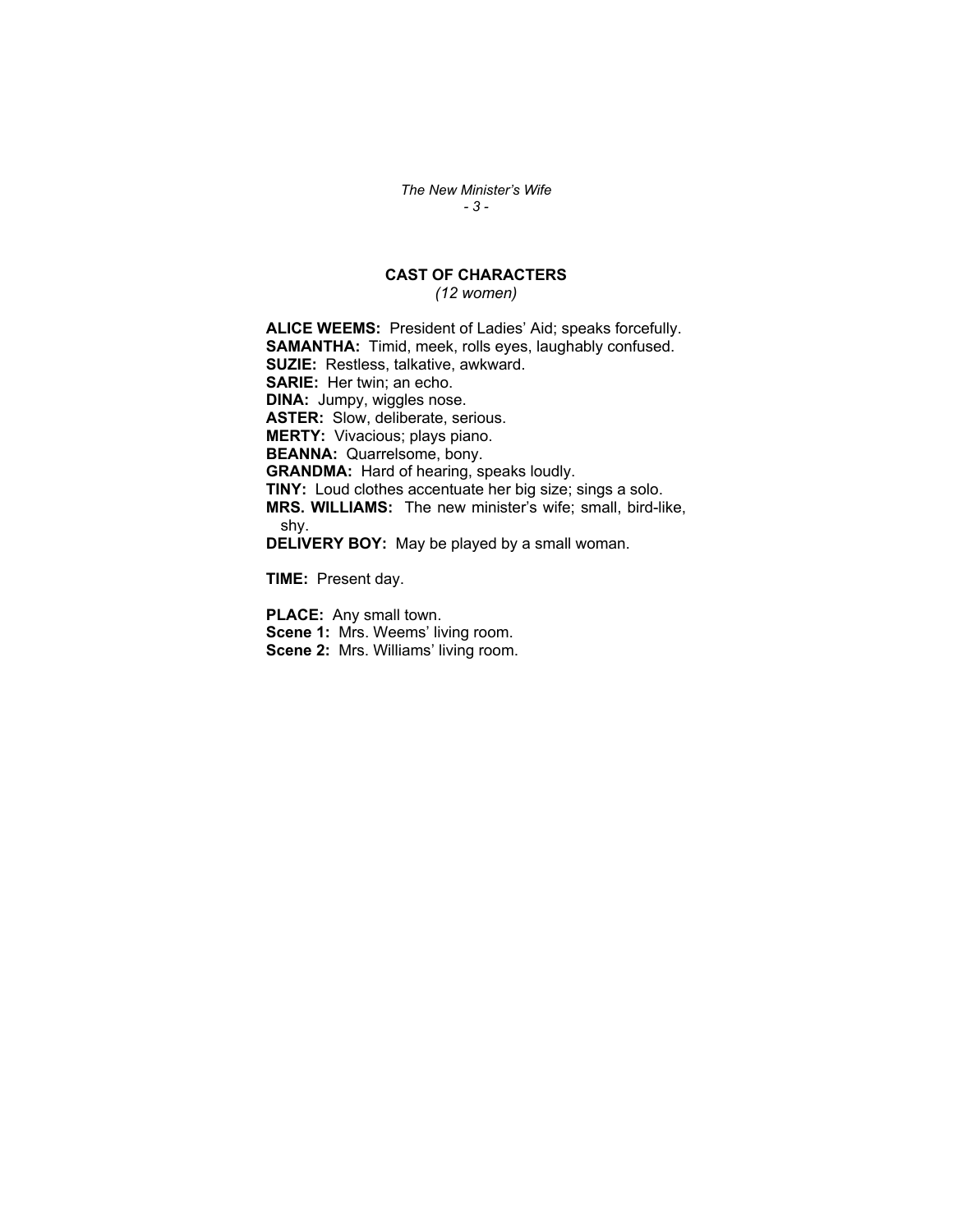*The New Minister's Wife - 3 -* 

## **CAST OF CHARACTERS**

*(12 women)* 

**ALICE WEEMS:** President of Ladies' Aid; speaks forcefully. **SAMANTHA:** Timid, meek, rolls eyes, laughably confused. **SUZIE:** Restless, talkative, awkward. **SARIE:** Her twin; an echo. **DINA:** Jumpy, wiggles nose. **ASTER:** Slow, deliberate, serious. **MERTY:** Vivacious; plays piano. **BEANNA:** Quarrelsome, bony. **GRANDMA:** Hard of hearing, speaks loudly. **TINY:** Loud clothes accentuate her big size; sings a solo. **MRS. WILLIAMS:** The new minister's wife; small, bird-like, shy. **DELIVERY BOY:** May be played by a small woman.

**TIME:** Present day.

**PLACE:** Any small town. **Scene 1: Mrs. Weems' living room. Scene 2:** Mrs. Williams' living room.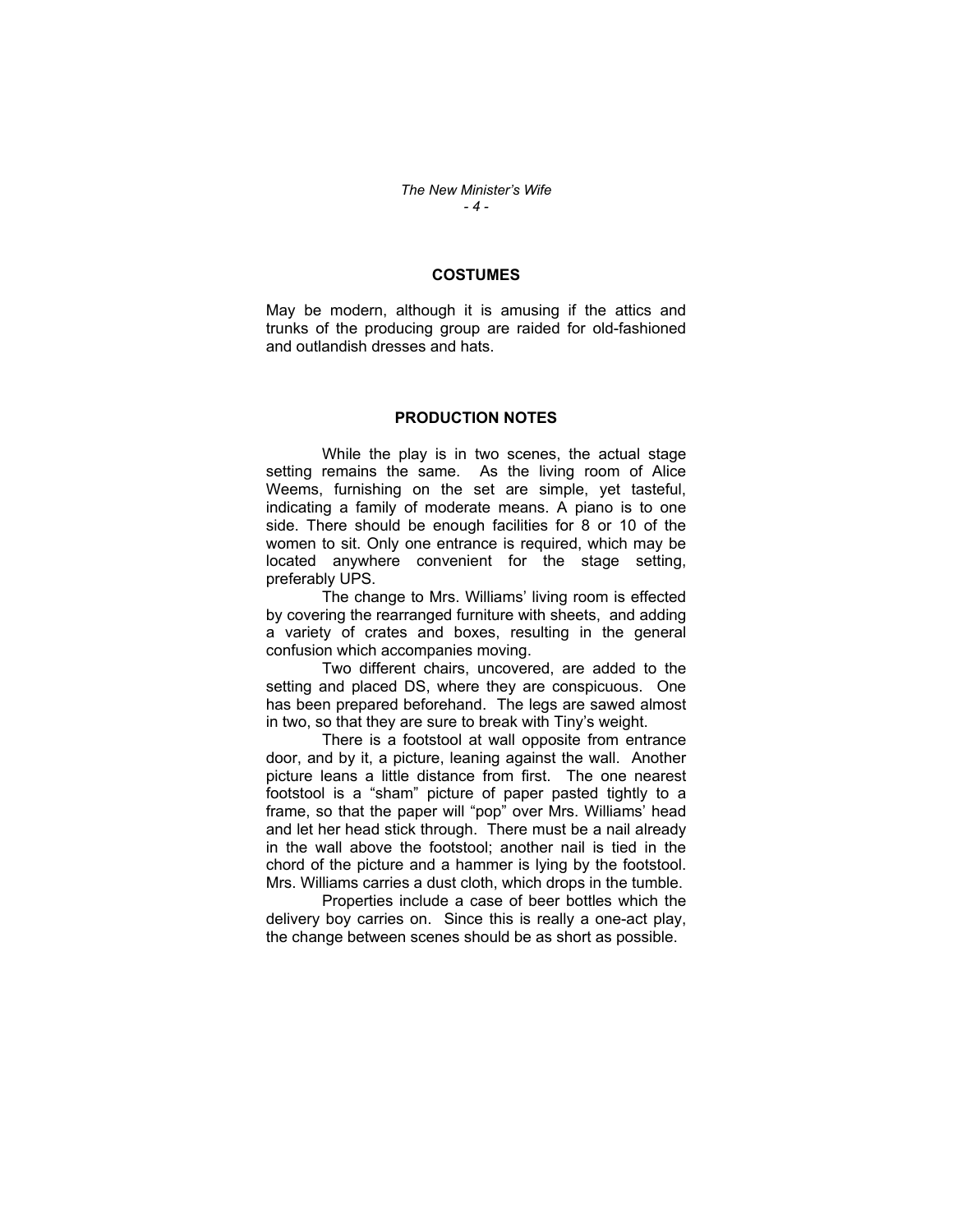## **COSTUMES**

May be modern, although it is amusing if the attics and trunks of the producing group are raided for old-fashioned and outlandish dresses and hats.

#### **PRODUCTION NOTES**

 While the play is in two scenes, the actual stage setting remains the same. As the living room of Alice Weems, furnishing on the set are simple, yet tasteful, indicating a family of moderate means. A piano is to one side. There should be enough facilities for 8 or 10 of the women to sit. Only one entrance is required, which may be located anywhere convenient for the stage setting, preferably UPS.

 The change to Mrs. Williams' living room is effected by covering the rearranged furniture with sheets, and adding a variety of crates and boxes, resulting in the general confusion which accompanies moving.

 Two different chairs, uncovered, are added to the setting and placed DS, where they are conspicuous. One has been prepared beforehand. The legs are sawed almost in two, so that they are sure to break with Tiny's weight.

 There is a footstool at wall opposite from entrance door, and by it, a picture, leaning against the wall. Another picture leans a little distance from first. The one nearest footstool is a "sham" picture of paper pasted tightly to a frame, so that the paper will "pop" over Mrs. Williams' head and let her head stick through. There must be a nail already in the wall above the footstool; another nail is tied in the chord of the picture and a hammer is lying by the footstool. Mrs. Williams carries a dust cloth, which drops in the tumble.

 Properties include a case of beer bottles which the delivery boy carries on. Since this is really a one-act play, the change between scenes should be as short as possible.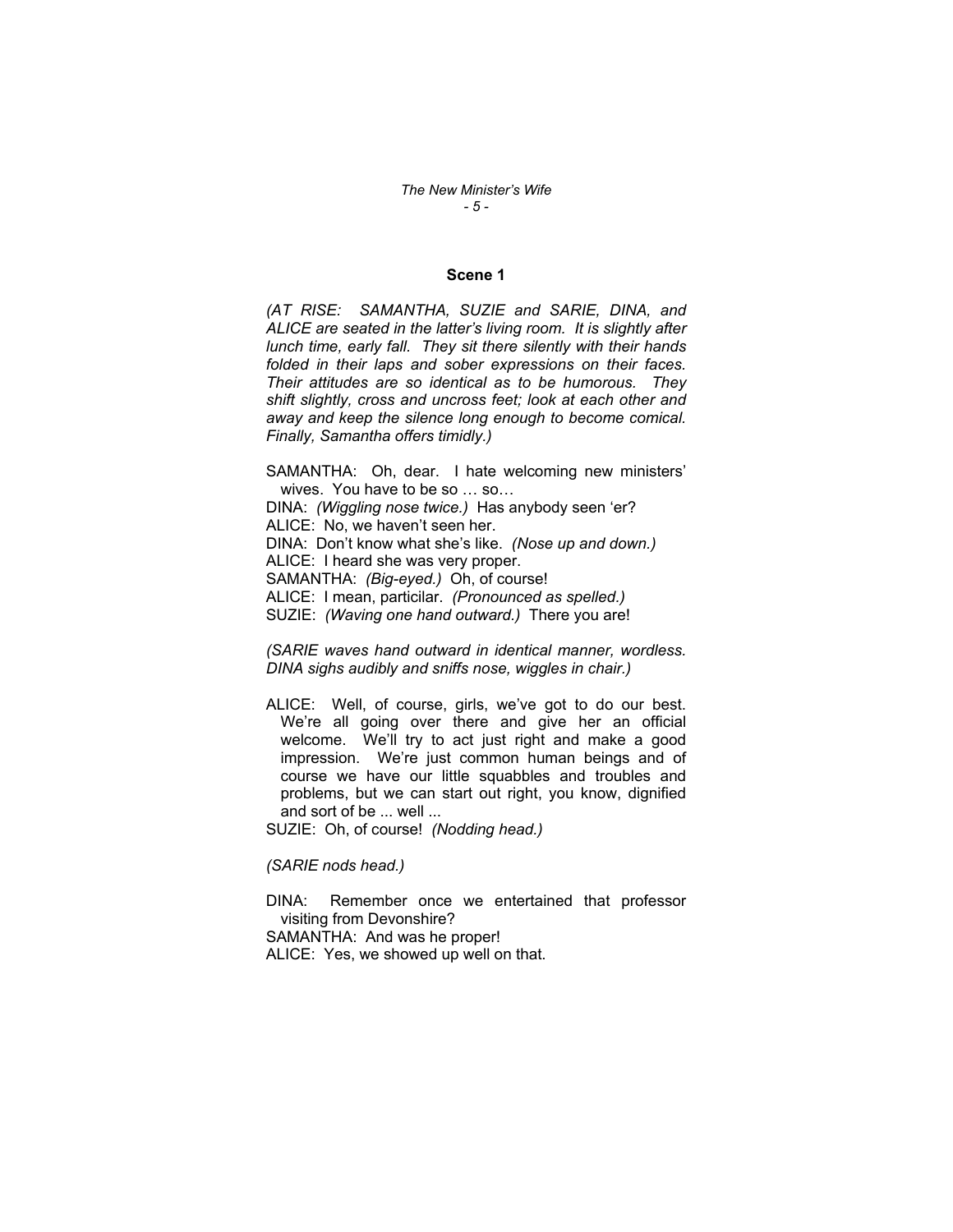#### **Scene 1**

*(AT RISE: SAMANTHA, SUZIE and SARIE, DINA, and ALICE are seated in the latter's living room. It is slightly after lunch time, early fall. They sit there silently with their hands folded in their laps and sober expressions on their faces. Their attitudes are so identical as to be humorous. They shift slightly, cross and uncross feet; look at each other and away and keep the silence long enough to become comical. Finally, Samantha offers timidly.)* 

SAMANTHA: Oh, dear. I hate welcoming new ministers' wives. You have to be so … so… DINA: *(Wiggling nose twice.)* Has anybody seen 'er? ALICE: No, we haven't seen her. DINA: Don't know what she's like. *(Nose up and down.)*  ALICE: I heard she was very proper. SAMANTHA: *(Big-eyed.)* Oh, of course! ALICE: I mean, particilar. *(Pronounced as spelled.)*  SUZIE: *(Waving one hand outward.)* There you are!

*(SARIE waves hand outward in identical manner, wordless. DINA sighs audibly and sniffs nose, wiggles in chair.)* 

ALICE: Well, of course, girls, we've got to do our best. We're all going over there and give her an official welcome. We'll try to act just right and make a good impression. We're just common human beings and of course we have our little squabbles and troubles and problems, but we can start out right, you know, dignified and sort of be ... well ...

SUZIE: Oh, of course! *(Nodding head.)* 

*(SARIE nods head.)* 

DINA: Remember once we entertained that professor visiting from Devonshire? SAMANTHA: And was he proper! ALICE: Yes, we showed up well on that.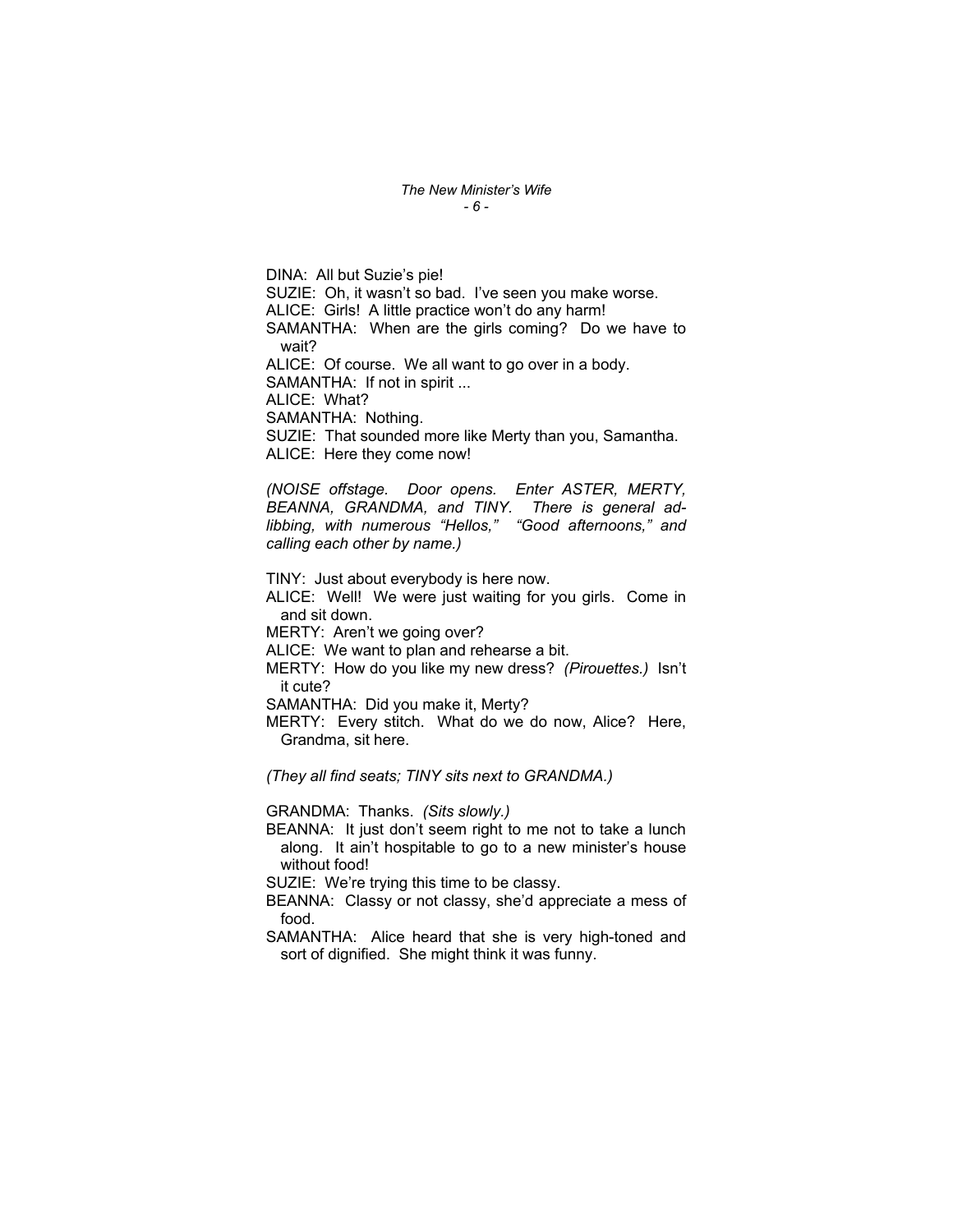DINA: All but Suzie's pie! SUZIE: Oh, it wasn't so bad. I've seen you make worse. ALICE: Girls! A little practice won't do any harm! SAMANTHA: When are the girls coming? Do we have to wait? ALICE: Of course. We all want to go over in a body. SAMANTHA: If not in spirit ... ALICE: What? SAMANTHA: Nothing. SUZIE: That sounded more like Merty than you, Samantha. ALICE: Here they come now!

*(NOISE offstage. Door opens. Enter ASTER, MERTY, BEANNA, GRANDMA, and TINY. There is general adlibbing, with numerous "Hellos," "Good afternoons," and calling each other by name.)* 

TINY: Just about everybody is here now. ALICE: Well! We were just waiting for you girls. Come in and sit down. MERTY: Aren't we going over? ALICE: We want to plan and rehearse a bit. MERTY: How do you like my new dress? *(Pirouettes.)* Isn't it cute? SAMANTHA: Did you make it, Merty? MERTY: Every stitch. What do we do now, Alice? Here, Grandma, sit here.

*(They all find seats; TINY sits next to GRANDMA.)* 

GRANDMA: Thanks. *(Sits slowly.)* 

BEANNA: It just don't seem right to me not to take a lunch along. It ain't hospitable to go to a new minister's house without food!

SUZIE: We're trying this time to be classy.

BEANNA: Classy or not classy, she'd appreciate a mess of food.

SAMANTHA: Alice heard that she is very high-toned and sort of dignified. She might think it was funny.